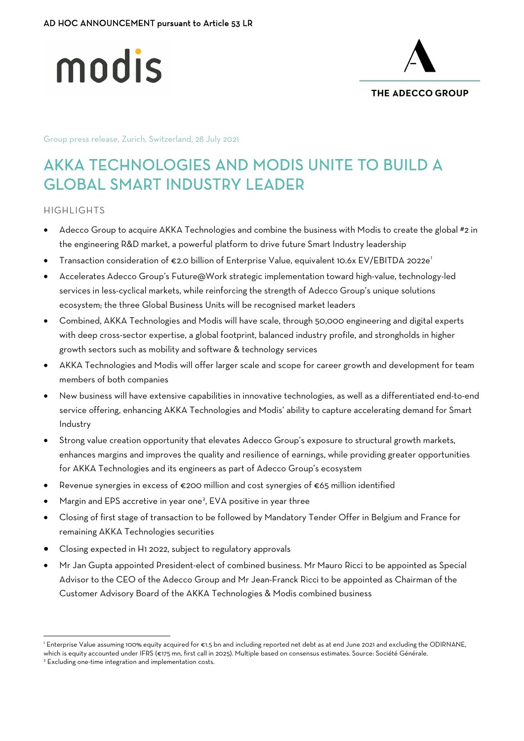



Group press release, Zurich, Switzerland, 28 July 2021

# AKKA TECHNOLOGIES AND MODIS UNITE TO BUILD A GLOBAL SMART INDUSTRY LEADER

## HIGHLIGHTS

- Adecco Group to acquire AKKA Technologies and combine the business with Modis to create the global #2 in the engineering R&D market, a powerful platform to drive future Smart Industry leadership
- Transaction consideration of €2.0 billion of Enterprise Value, equivalent 10.6x EV/EBITDA 2022e[1](#page-0-0)
- Accelerates Adecco Group's Future@Work strategic implementation toward high-value, technology-led services in less-cyclical markets, while reinforcing the strength of Adecco Group's unique solutions ecosystem; the three Global Business Units will be recognised market leaders
- Combined, AKKA Technologies and Modis will have scale, through 50,000 engineering and digital experts with deep cross-sector expertise, a global footprint, balanced industry profile, and strongholds in higher growth sectors such as mobility and software & technology services
- AKKA Technologies and Modis will offer larger scale and scope for career growth and development for team members of both companies
- New business will have extensive capabilities in innovative technologies, as well as a differentiated end-to-end service offering, enhancing AKKA Technologies and Modis' ability to capture accelerating demand for Smart Industry
- Strong value creation opportunity that elevates Adecco Group's exposure to structural growth markets, enhances margins and improves the quality and resilience of earnings, while providing greater opportunities for AKKA Technologies and its engineers as part of Adecco Group's ecosystem
- Revenue synergies in excess of €200 million and cost synergies of €65 million identified
- $\bullet$  Margin and EPS accretive in year one<sup>[2](#page-0-1)</sup>, EVA positive in year three
- Closing of first stage of transaction to be followed by Mandatory Tender Offer in Belgium and France for remaining AKKA Technologies securities
- Closing expected in H1 2022, subject to regulatory approvals
- Mr Jan Gupta appointed President-elect of combined business. Mr Mauro Ricci to be appointed as Special Advisor to the CEO of the Adecco Group and Mr Jean-Franck Ricci to be appointed as Chairman of the Customer Advisory Board of the AKKA Technologies & Modis combined business

<span id="page-0-0"></span><sup>1</sup> Enterprise Value assuming 100% equity acquired for €1.5 bn and including reported net debt as at end June 2021 and excluding the ODIRNANE, which is equity accounted under IFRS (€175 mn, first call in 2025). Multiple based on consensus estimates. Source: Société Générale.

<span id="page-0-1"></span><sup>&</sup>lt;sup>2</sup> Excluding one-time integration and implementation costs.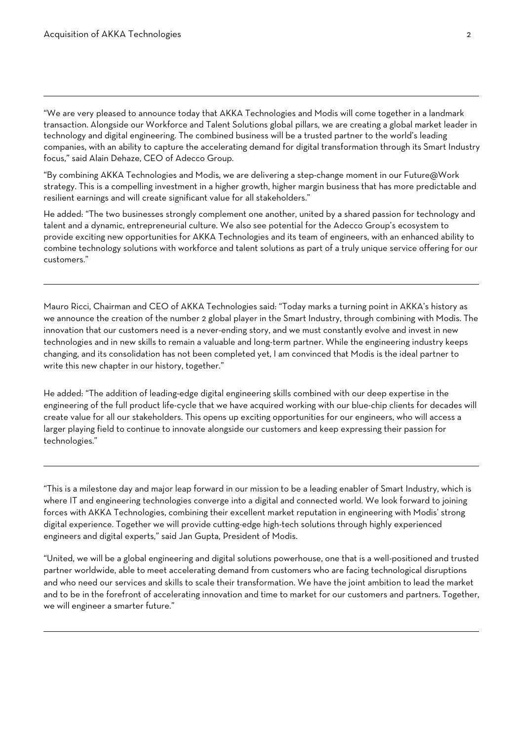$\overline{a}$ 

 $\overline{a}$ 

ı

 $\overline{a}$ 

"We are very pleased to announce today that AKKA Technologies and Modis will come together in a landmark transaction. Alongside our Workforce and Talent Solutions global pillars, we are creating a global market leader in technology and digital engineering. The combined business will be a trusted partner to the world's leading companies, with an ability to capture the accelerating demand for digital transformation through its Smart Industry focus," said Alain Dehaze, CEO of Adecco Group.

"By combining AKKA Technologies and Modis, we are delivering a step-change moment in our Future@Work strategy. This is a compelling investment in a higher growth, higher margin business that has more predictable and resilient earnings and will create significant value for all stakeholders."

He added: "The two businesses strongly complement one another, united by a shared passion for technology and talent and a dynamic, entrepreneurial culture. We also see potential for the Adecco Group's ecosystem to provide exciting new opportunities for AKKA Technologies and its team of engineers, with an enhanced ability to combine technology solutions with workforce and talent solutions as part of a truly unique service offering for our customers."

Mauro Ricci, Chairman and CEO of AKKA Technologies said: "Today marks a turning point in AKKA's history as we announce the creation of the number 2 global player in the Smart Industry, through combining with Modis. The innovation that our customers need is a never-ending story, and we must constantly evolve and invest in new technologies and in new skills to remain a valuable and long-term partner. While the engineering industry keeps changing, and its consolidation has not been completed yet, I am convinced that Modis is the ideal partner to write this new chapter in our history, together."

He added: "The addition of leading-edge digital engineering skills combined with our deep expertise in the engineering of the full product life-cycle that we have acquired working with our blue-chip clients for decades will create value for all our stakeholders. This opens up exciting opportunities for our engineers, who will access a larger playing field to continue to innovate alongside our customers and keep expressing their passion for technologies."

"This is a milestone day and major leap forward in our mission to be a leading enabler of Smart Industry, which is where IT and engineering technologies converge into a digital and connected world. We look forward to joining forces with AKKA Technologies, combining their excellent market reputation in engineering with Modis' strong digital experience. Together we will provide cutting-edge high-tech solutions through highly experienced engineers and digital experts," said Jan Gupta, President of Modis.

"United, we will be a global engineering and digital solutions powerhouse, one that is a well-positioned and trusted partner worldwide, able to meet accelerating demand from customers who are facing technological disruptions and who need our services and skills to scale their transformation. We have the joint ambition to lead the market and to be in the forefront of accelerating innovation and time to market for our customers and partners. Together, we will engineer a smarter future."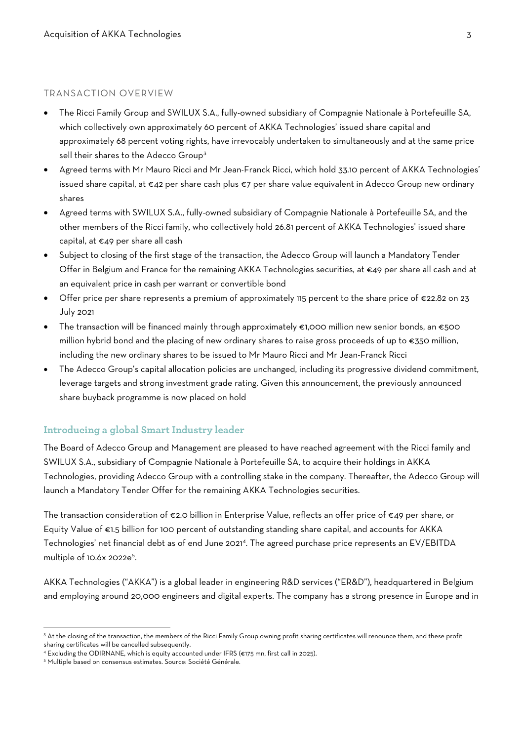## TRANSACTION OVERVIEW

- The Ricci Family Group and SWILUX S.A., fully-owned subsidiary of Compagnie Nationale à Portefeuille SA, which collectively own approximately 60 percent of AKKA Technologies' issued share capital and approximately 68 percent voting rights, have irrevocably undertaken to simultaneously and at the same price sell their shares to the Adecco Group<sup>[3](#page-2-0)</sup>
- Agreed terms with Mr Mauro Ricci and Mr Jean-Franck Ricci, which hold 33.10 percent of AKKA Technologies' issued share capital, at €42 per share cash plus €7 per share value equivalent in Adecco Group new ordinary shares
- Agreed terms with SWILUX S.A., fully-owned subsidiary of Compagnie Nationale à Portefeuille SA, and the other members of the Ricci family, who collectively hold 26.81 percent of AKKA Technologies' issued share capital, at €49 per share all cash
- Subject to closing of the first stage of the transaction, the Adecco Group will launch a Mandatory Tender Offer in Belgium and France for the remaining AKKA Technologies securities, at €49 per share all cash and at an equivalent price in cash per warrant or convertible bond
- Offer price per share represents a premium of approximately 115 percent to the share price of €22.82 on 23 July 2021
- The transaction will be financed mainly through approximately  $\epsilon$ 1,000 million new senior bonds, an  $\epsilon$ 500 million hybrid bond and the placing of new ordinary shares to raise gross proceeds of up to €350 million, including the new ordinary shares to be issued to Mr Mauro Ricci and Mr Jean-Franck Ricci
- The Adecco Group's capital allocation policies are unchanged, including its progressive dividend commitment, leverage targets and strong investment grade rating. Given this announcement, the previously announced share buyback programme is now placed on hold

# **Introducing a global Smart Industry leader**

The Board of Adecco Group and Management are pleased to have reached agreement with the Ricci family and SWILUX S.A., subsidiary of Compagnie Nationale à Portefeuille SA, to acquire their holdings in AKKA Technologies, providing Adecco Group with a controlling stake in the company. Thereafter, the Adecco Group will launch a Mandatory Tender Offer for the remaining AKKA Technologies securities.

The transaction consideration of €2.0 billion in Enterprise Value, reflects an offer price of €49 per share, or Equity Value of €1.5 billion for 100 percent of outstanding standing share capital, and accounts for AKKA Technologies' net financial debt as of end June 2021<sup>[4](#page-2-1)</sup>. The agreed purchase price represents an EV/EBITDA multiple of 10.6x 2022e<sup>[5](#page-2-2)</sup>.

AKKA Technologies ("AKKA") is a global leader in engineering R&D services ("ER&D"), headquartered in Belgium and employing around 20,000 engineers and digital experts. The company has a strong presence in Europe and in

<span id="page-2-0"></span><sup>&</sup>lt;sup>3</sup> At the closing of the transaction, the members of the Ricci Family Group owning profit sharing certificates will renounce them, and these profit sharing certificates will be cancelled subsequently.

<span id="page-2-1"></span><sup>4</sup> Excluding the ODIRNANE, which is equity accounted under IFRS (€175 mn, first call in 2025).

<span id="page-2-2"></span><sup>&</sup>lt;sup>5</sup> Multiple based on consensus estimates. Source: Société Générale.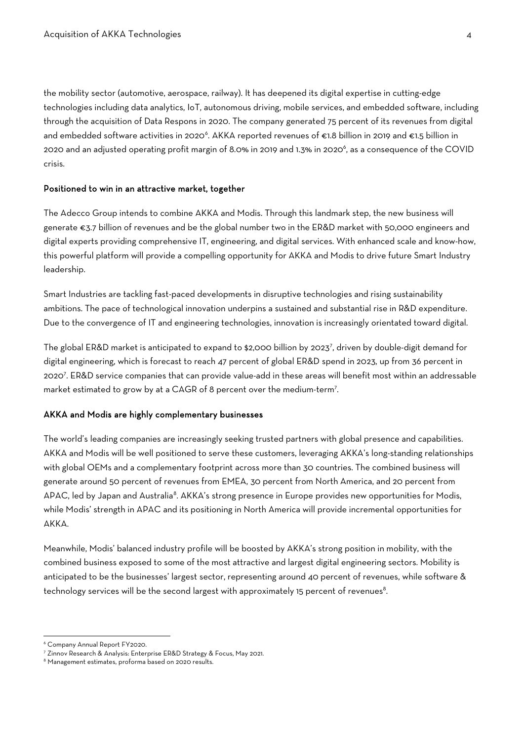the mobility sector (automotive, aerospace, railway). It has deepened its digital expertise in cutting-edge technologies including data analytics, IoT, autonomous driving, mobile services, and embedded software, including through the acquisition of Data Respons in 2020. The company generated 75 percent of its revenues from digital and embedded software activities in 2020<sup>[6](#page-3-0)</sup>. AKKA reported revenues of €1.8 billion in 2019 and €1.5 billion in 2020 and an adjusted operating profit margin of 8.0% in 2019 and 1.3% in 2020 $^{\circ}$ , as a consequence of the COVID crisis.

#### Positioned to win in an attractive market, together

The Adecco Group intends to combine AKKA and Modis. Through this landmark step, the new business will generate €3.7 billion of revenues and be the global number two in the ER&D market with 50,000 engineers and digital experts providing comprehensive IT, engineering, and digital services. With enhanced scale and know-how, this powerful platform will provide a compelling opportunity for AKKA and Modis to drive future Smart Industry leadership.

Smart Industries are tackling fast-paced developments in disruptive technologies and rising sustainability ambitions. The pace of technological innovation underpins a sustained and substantial rise in R&D expenditure. Due to the convergence of IT and engineering technologies, innovation is increasingly orientated toward digital.

The global ER&D market is anticipated to expand to \$2,000 billion by 2023<sup>[7](#page-3-1)</sup>, driven by double-digit demand for digital engineering, which is forecast to reach 47 percent of global ER&D spend in 2023, up from 36 percent in 20207 . ER&D service companies that can provide value-add in these areas will benefit most within an addressable market estimated to grow by at a CAGR of 8 percent over the medium-term7 .

## AKKA and Modis are highly complementary businesses

The world's leading companies are increasingly seeking trusted partners with global presence and capabilities. AKKA and Modis will be well positioned to serve these customers, leveraging AKKA's long-standing relationships with global OEMs and a complementary footprint across more than 30 countries. The combined business will generate around 50 percent of revenues from EMEA, 30 percent from North America, and 20 percent from APAC, led by Japan and Australia<sup>[8](#page-3-2)</sup>. AKKA's strong presence in Europe provides new opportunities for Modis, while Modis' strength in APAC and its positioning in North America will provide incremental opportunities for AKKA.

Meanwhile, Modis' balanced industry profile will be boosted by AKKA's strong position in mobility, with the combined business exposed to some of the most attractive and largest digital engineering sectors. Mobility is anticipated to be the businesses' largest sector, representing around 40 percent of revenues, while software & technology services will be the second largest with approximately 15 percent of revenues<sup>8</sup>.

<span id="page-3-0"></span><sup>6</sup> Company Annual Report FY2020.

<span id="page-3-1"></span><sup>&</sup>lt;sup>7</sup> Zinnov Research & Analysis: Enterprise ER&D Strategy & Focus, May 2021.<br><sup>8</sup> Management estimates, proforma based on 2020 results.

<span id="page-3-2"></span>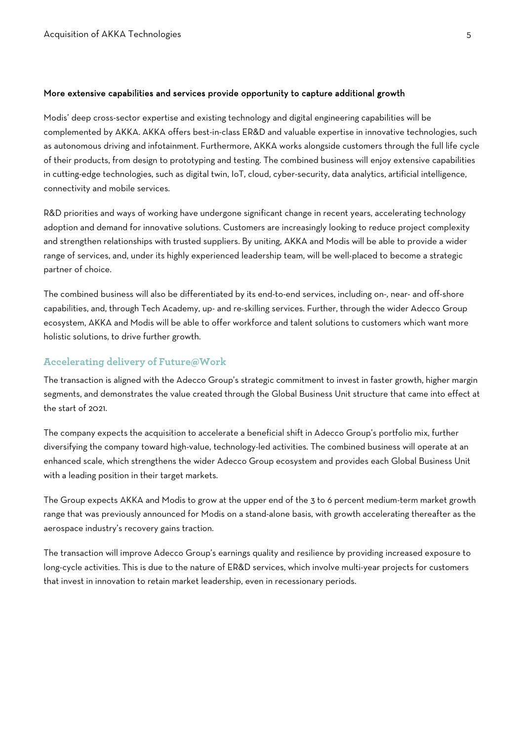#### More extensive capabilities and services provide opportunity to capture additional growth

Modis' deep cross-sector expertise and existing technology and digital engineering capabilities will be complemented by AKKA. AKKA offers best-in-class ER&D and valuable expertise in innovative technologies, such as autonomous driving and infotainment. Furthermore, AKKA works alongside customers through the full life cycle of their products, from design to prototyping and testing. The combined business will enjoy extensive capabilities in cutting-edge technologies, such as digital twin, IoT, cloud, cyber-security, data analytics, artificial intelligence, connectivity and mobile services.

R&D priorities and ways of working have undergone significant change in recent years, accelerating technology adoption and demand for innovative solutions. Customers are increasingly looking to reduce project complexity and strengthen relationships with trusted suppliers. By uniting, AKKA and Modis will be able to provide a wider range of services, and, under its highly experienced leadership team, will be well-placed to become a strategic partner of choice.

The combined business will also be differentiated by its end-to-end services, including on-, near- and off-shore capabilities, and, through Tech Academy, up- and re-skilling services. Further, through the wider Adecco Group ecosystem, AKKA and Modis will be able to offer workforce and talent solutions to customers which want more holistic solutions, to drive further growth.

## **Accelerating delivery of Future@Work**

The transaction is aligned with the Adecco Group's strategic commitment to invest in faster growth, higher margin segments, and demonstrates the value created through the Global Business Unit structure that came into effect at the start of 2021.

The company expects the acquisition to accelerate a beneficial shift in Adecco Group's portfolio mix, further diversifying the company toward high-value, technology-led activities. The combined business will operate at an enhanced scale, which strengthens the wider Adecco Group ecosystem and provides each Global Business Unit with a leading position in their target markets.

The Group expects AKKA and Modis to grow at the upper end of the 3 to 6 percent medium-term market growth range that was previously announced for Modis on a stand-alone basis, with growth accelerating thereafter as the aerospace industry's recovery gains traction.

The transaction will improve Adecco Group's earnings quality and resilience by providing increased exposure to long-cycle activities. This is due to the nature of ER&D services, which involve multi-year projects for customers that invest in innovation to retain market leadership, even in recessionary periods.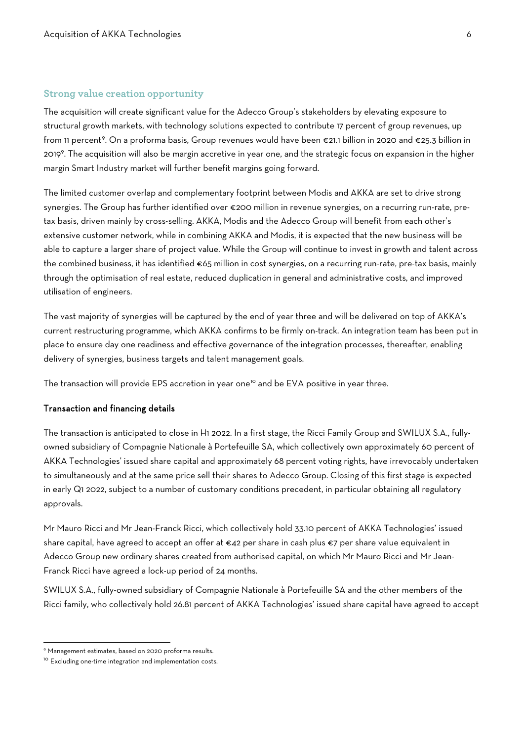## **Strong value creation opportunity**

The acquisition will create significant value for the Adecco Group's stakeholders by elevating exposure to structural growth markets, with technology solutions expected to contribute 17 percent of group revenues, up from 11 percent<sup>[9](#page-5-0)</sup>. On a proforma basis, Group revenues would have been €21.1 billion in 2020 and €25.3 billion in 2019<sup>9</sup>. The acquisition will also be margin accretive in year one, and the strategic focus on expansion in the higher margin Smart Industry market will further benefit margins going forward.

The limited customer overlap and complementary footprint between Modis and AKKA are set to drive strong synergies. The Group has further identified over €200 million in revenue synergies, on a recurring run-rate, pretax basis, driven mainly by cross-selling. AKKA, Modis and the Adecco Group will benefit from each other's extensive customer network, while in combining AKKA and Modis, it is expected that the new business will be able to capture a larger share of project value. While the Group will continue to invest in growth and talent across the combined business, it has identified €65 million in cost synergies, on a recurring run-rate, pre-tax basis, mainly through the optimisation of real estate, reduced duplication in general and administrative costs, and improved utilisation of engineers.

The vast majority of synergies will be captured by the end of year three and will be delivered on top of AKKA's current restructuring programme, which AKKA confirms to be firmly on-track. An integration team has been put in place to ensure day one readiness and effective governance of the integration processes, thereafter, enabling delivery of synergies, business targets and talent management goals.

The transaction will provide EPS accretion in year one<sup>[10](#page-5-1)</sup> and be EVA positive in year three.

### Transaction and financing details

The transaction is anticipated to close in H1 2022. In a first stage, the Ricci Family Group and SWILUX S.A., fullyowned subsidiary of Compagnie Nationale à Portefeuille SA, which collectively own approximately 60 percent of AKKA Technologies' issued share capital and approximately 68 percent voting rights, have irrevocably undertaken to simultaneously and at the same price sell their shares to Adecco Group. Closing of this first stage is expected in early Q1 2022, subject to a number of customary conditions precedent, in particular obtaining all regulatory approvals.

Mr Mauro Ricci and Mr Jean-Franck Ricci, which collectively hold 33.10 percent of AKKA Technologies' issued share capital, have agreed to accept an offer at €42 per share in cash plus €7 per share value equivalent in Adecco Group new ordinary shares created from authorised capital, on which Mr Mauro Ricci and Mr Jean-Franck Ricci have agreed a lock-up period of 24 months.

SWILUX S.A., fully-owned subsidiary of Compagnie Nationale à Portefeuille SA and the other members of the Ricci family, who collectively hold 26.81 percent of AKKA Technologies' issued share capital have agreed to accept

<span id="page-5-0"></span><sup>9</sup> Management estimates, based on 2020 proforma results.

<span id="page-5-1"></span><sup>&</sup>lt;sup>10</sup> Excluding one-time integration and implementation costs.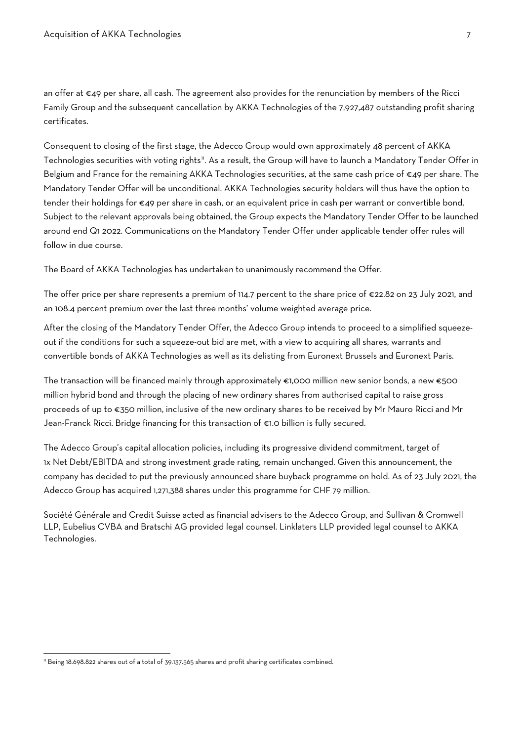an offer at €49 per share, all cash. The agreement also provides for the renunciation by members of the Ricci Family Group and the subsequent cancellation by AKKA Technologies of the 7,927,487 outstanding profit sharing certificates.

Consequent to closing of the first stage, the Adecco Group would own approximately 48 percent of AKKA Technologies securities with voting rights". As a result, the Group will have to launch a Mandatory Tender Offer in Belgium and France for the remaining AKKA Technologies securities, at the same cash price of €49 per share. The Mandatory Tender Offer will be unconditional. AKKA Technologies security holders will thus have the option to tender their holdings for €49 per share in cash, or an equivalent price in cash per warrant or convertible bond. Subject to the relevant approvals being obtained, the Group expects the Mandatory Tender Offer to be launched around end Q1 2022. Communications on the Mandatory Tender Offer under applicable tender offer rules will follow in due course.

The Board of AKKA Technologies has undertaken to unanimously recommend the Offer.

The offer price per share represents a premium of 114.7 percent to the share price of €22.82 on 23 July 2021, and an 108.4 percent premium over the last three months' volume weighted average price.

After the closing of the Mandatory Tender Offer, the Adecco Group intends to proceed to a simplified squeezeout if the conditions for such a squeeze-out bid are met, with a view to acquiring all shares, warrants and convertible bonds of AKKA Technologies as well as its delisting from Euronext Brussels and Euronext Paris.

The transaction will be financed mainly through approximately €1,000 million new senior bonds, a new €500 million hybrid bond and through the placing of new ordinary shares from authorised capital to raise gross proceeds of up to €350 million, inclusive of the new ordinary shares to be received by Mr Mauro Ricci and Mr Jean-Franck Ricci. Bridge financing for this transaction of €1.0 billion is fully secured.

The Adecco Group's capital allocation policies, including its progressive dividend commitment, target of 1x Net Debt/EBITDA and strong investment grade rating, remain unchanged. Given this announcement, the company has decided to put the previously announced share buyback programme on hold. As of 23 July 2021, the Adecco Group has acquired 1,271,388 shares under this programme for CHF 79 million.

Société Générale and Credit Suisse acted as financial advisers to the Adecco Group, and Sullivan & Cromwell LLP, Eubelius CVBA and Bratschi AG provided legal counsel. Linklaters LLP provided legal counsel to AKKA Technologies.

<span id="page-6-0"></span><sup>&</sup>lt;sup>11</sup> Being 18.698.822 shares out of a total of 39.137.565 shares and profit sharing certificates combined.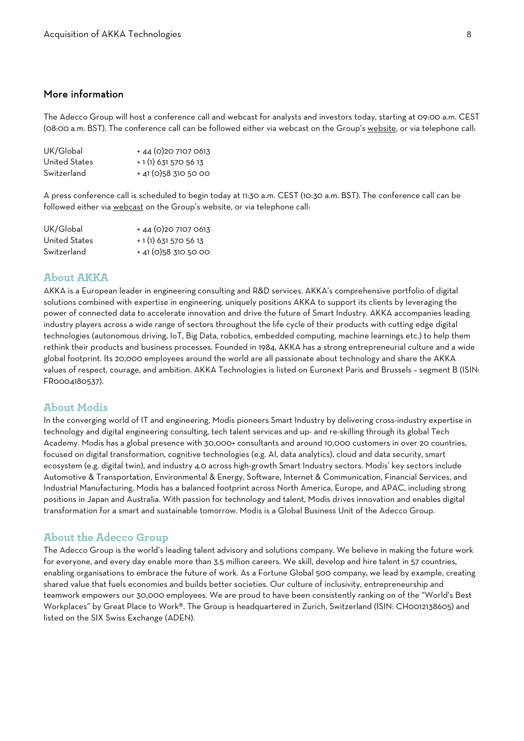## More information

The Adecco Group will host a conference call and webcast for analysts and investors today, starting at 09:00 a.m. CEST (08:00 a.m. BST). The conference call can be followed either via webcast on the Group's [website,](https://www.adeccogroup.com/investors/smart-industry) or via telephone call:

| UK/Global     | $+44(0)2071070613$      |
|---------------|-------------------------|
| United States | + 1 (1) 631 570 56 13   |
| Switzerland   | $+$ 41 (0) 58 310 50 00 |

A press conference call is scheduled to begin today at 11:30 a.m. CEST (10:30 a.m. BST). The conference call can be followed either via [webcast](https://www.adeccogroup.com/investors/smart-industry) on the Group's website, or via telephone call:

| UK/Global     | $+44(0)2071070613$      |
|---------------|-------------------------|
| United States | + 1 (1) 631 570 56 13   |
| Switzerland   | $+$ 41 (0) 58 310 50 00 |

## **About AKKA**

AKKA is a European leader in engineering consulting and R&D services. AKKA's comprehensive portfolio of digital solutions combined with expertise in engineering, uniquely positions AKKA to support its clients by leveraging the power of connected data to accelerate innovation and drive the future of Smart Industry. AKKA accompanies leading industry players across a wide range of sectors throughout the life cycle of their products with cutting edge digital technologies (autonomous driving, IoT, Big Data, robotics, embedded computing, machine learnings etc.) to help them rethink their products and business processes. Founded in 1984, AKKA has a strong entrepreneurial culture and a wide global footprint. Its 20,000 employees around the world are all passionate about technology and share the AKKA values of respect, courage, and ambition. AKKA Technologies is listed on Euronext Paris and Brussels – segment B (ISIN: FR0004180537).

#### **About Modis**

In the converging world of IT and engineering, Modis pioneers Smart Industry by delivering cross-industry expertise in technology and digital engineering consulting, tech talent services and up- and re-skilling through its global Tech Academy. Modis has a global presence with 30,000+ consultants and around 10,000 customers in over 20 countries, focused on digital transformation, cognitive technologies (e.g. AI, data analytics), cloud and data security, smart ecosystem (e.g. digital twin), and industry 4.0 across high-growth Smart Industry sectors. Modis' key sectors include Automotive & Transportation, Environmental & Energy, Software, Internet & Communication, Financial Services, and Industrial Manufacturing. Modis has a balanced footprint across North America, Europe, and APAC, including strong positions in Japan and Australia. With passion for technology and talent, Modis drives innovation and enables digital transformation for a smart and sustainable tomorrow. Modis is a Global Business Unit of the Adecco Group.

#### **About the Adecco Group**

The Adecco Group is the world's leading talent advisory and solutions company. We believe in making the future work for everyone, and every day enable more than 3.5 million careers. We skill, develop and hire talent in 57 countries, enabling organisations to embrace the future of work. As a Fortune Global 500 company, we lead by example, creating shared value that fuels economies and builds better societies. Our culture of inclusivity, entrepreneurship and teamwork empowers our 30,000 employees. We are proud to have been consistently ranking on of the "World's Best Workplaces" by Great Place to Work®. The Group is headquartered in Zurich, Switzerland (ISIN: CH0012138605) and listed on the SIX Swiss Exchange (ADEN).